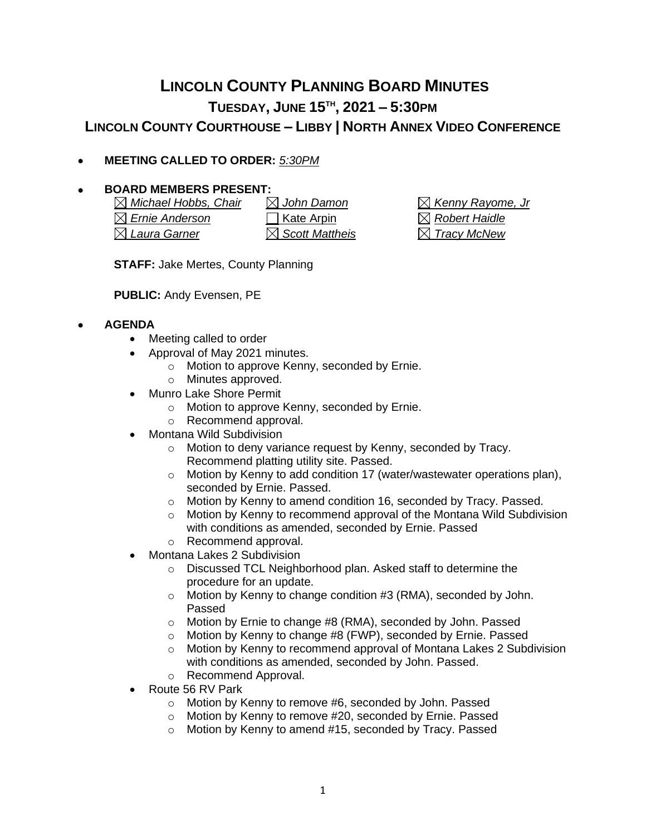## **LINCOLN COUNTY PLANNING BOARD MINUTES TUESDAY, JUNE 15TH , 2021 – 5:30PM LINCOLN COUNTY COURTHOUSE – LIBBY | NORTH ANNEX VIDEO CONFERENCE**

• **MEETING CALLED TO ORDER:** *5:30PM*

## • **BOARD MEMBERS PRESENT:**

*Michael Hobbs, Chair John Damon Kenny Rayome, Jr*  $\boxtimes$  **Ernie Anderson C** Kate Arpin *Reference C Robert Haidle Laura Garner Scott Mattheis Tracy McNew*

**STAFF:** Jake Mertes, County Planning

**PUBLIC:** Andy Evensen, PE

## • **AGENDA**

- Meeting called to order
- Approval of May 2021 minutes.
	- o Motion to approve Kenny, seconded by Ernie.
	- o Minutes approved.
- Munro Lake Shore Permit
	- o Motion to approve Kenny, seconded by Ernie.
	- o Recommend approval.
- Montana Wild Subdivision
	- o Motion to deny variance request by Kenny, seconded by Tracy. Recommend platting utility site. Passed.
	- o Motion by Kenny to add condition 17 (water/wastewater operations plan), seconded by Ernie. Passed.
	- o Motion by Kenny to amend condition 16, seconded by Tracy. Passed.
	- o Motion by Kenny to recommend approval of the Montana Wild Subdivision with conditions as amended, seconded by Ernie. Passed o Recommend approval.
	- Montana Lakes 2 Subdivision
		- o Discussed TCL Neighborhood plan. Asked staff to determine the procedure for an update.
		- o Motion by Kenny to change condition #3 (RMA), seconded by John. Passed
		- o Motion by Ernie to change #8 (RMA), seconded by John. Passed
		- o Motion by Kenny to change #8 (FWP), seconded by Ernie. Passed
		- $\circ$  Motion by Kenny to recommend approval of Montana Lakes 2 Subdivision with conditions as amended, seconded by John. Passed.
		- o Recommend Approval.
- Route 56 RV Park
	- o Motion by Kenny to remove #6, seconded by John. Passed
	- o Motion by Kenny to remove #20, seconded by Ernie. Passed
	- o Motion by Kenny to amend #15, seconded by Tracy. Passed